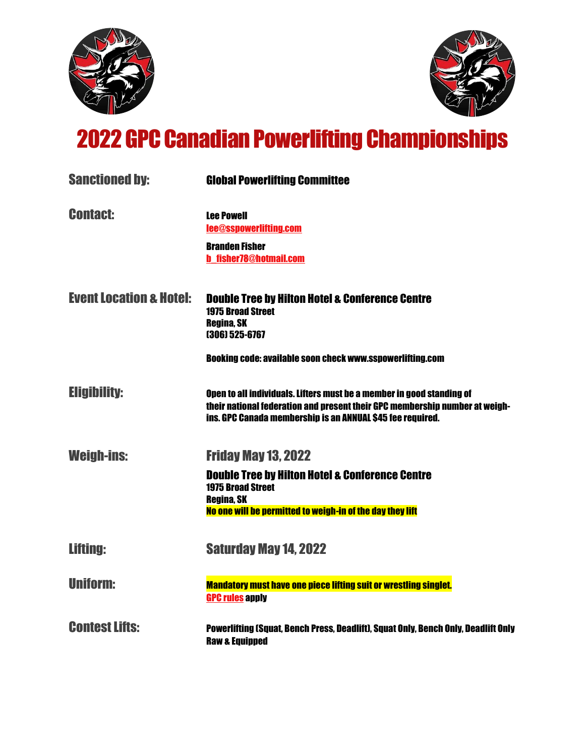



## 2022GPC Canadian Powerlifting Championships

| <b>Sanctioned by:</b>              | <b>Global Powerlifting Committee</b>                                                                                                                                                                               |
|------------------------------------|--------------------------------------------------------------------------------------------------------------------------------------------------------------------------------------------------------------------|
| <b>Contact:</b>                    | <b>Lee Powell</b><br>lee@sspowerlifting.com                                                                                                                                                                        |
|                                    | <b>Branden Fisher</b><br><b>b</b> fisher78@hotmail.com                                                                                                                                                             |
| <b>Event Location &amp; Hotel:</b> | <b>Double Tree by Hilton Hotel &amp; Conference Centre</b><br><b>1975 Broad Street</b><br><b>Regina, SK</b><br>(306) 525-6767                                                                                      |
|                                    | <b>Booking code: available soon check www.sspowerlifting.com</b>                                                                                                                                                   |
| <b>Eligibility:</b>                | Open to all individuals. Lifters must be a member in good standing of<br>their national federation and present their GPC membership number at weigh-<br>ins. GPC Canada membership is an ANNUAL \$45 fee required. |
| <b>Weigh-ins:</b>                  | <b>Friday May 13, 2022</b>                                                                                                                                                                                         |
|                                    | <b>Double Tree by Hilton Hotel &amp; Conference Centre</b><br><b>1975 Broad Street</b><br><b>Regina, SK</b>                                                                                                        |
|                                    | No one will be permitted to weigh-in of the day they lift                                                                                                                                                          |
| <b>Lifting:</b>                    | <b>Saturday May 14, 2022</b>                                                                                                                                                                                       |
| <b>Uniform:</b>                    | <b>Mandatory must have one piece lifting suit or wrestling singlet.</b><br><b>GPC rules apply</b>                                                                                                                  |
| <b>Contest Lifts:</b>              | Powerlifting (Squat, Bench Press, Deadlift), Squat Only, Bench Only, Deadlift Only<br><b>Raw &amp; Equipped</b>                                                                                                    |